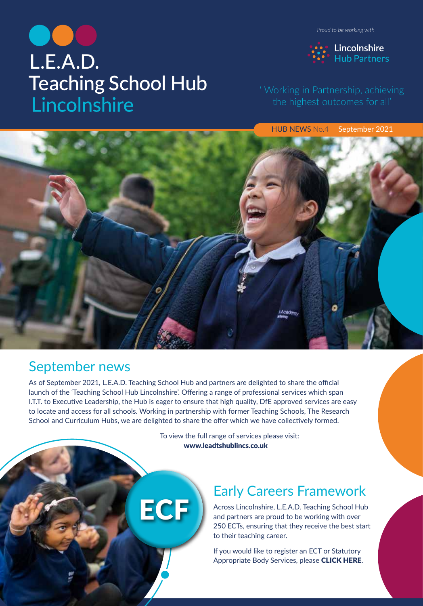L.E.A.D. **Teaching School Hub** Lincolnshire

HUB NEWS No.4 September 2021

### September news

As of September 2021, L.E.A.D. Teaching School Hub and partners are delighted to share the official launch of the 'Teaching School Hub Lincolnshire'. Offering a range of professional services which span I.T.T. to Executive Lea[dership, the Hub is eager to ensure that high quality, DfE approved services are easy](https://www.leadtshublincs.co.uk/) to locate and access for all schools. Working in partnership with former Teaching Schools, The Research School and Curriculum Hubs, we are delighted to share the offer which we have collectively formed.

> To view the full range of services please visit: www.leadtshublincs.co.uk

# Early Careers Framework

Across Lincolnshire, L.E.A.D. Teaching School Hub and partners are proud to be working with over [250 ECTs, ensuring that they receive the best start](https://www.leadtshublincs.co.uk/page/?title=ITT%2FEarly+Career%2FAB&pid=7)  to their teaching career.

If you would like to register an ECT or Statutory Appropriate Body Services, please CLICK HERE.





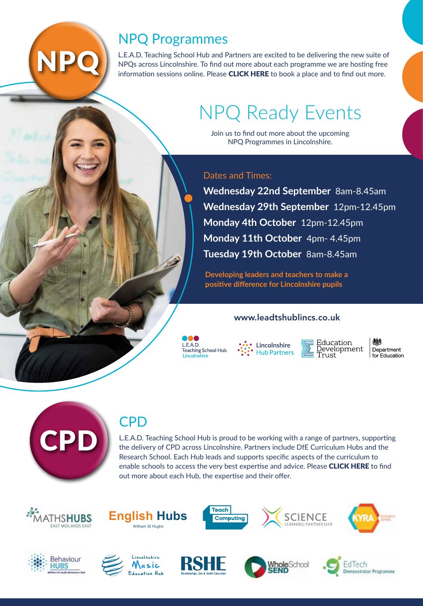# NPQ Programmes

L.E.A.D. Teaching School Hub and Partners are excited to be delivering the new suite of NPQs across Lincolnshire. To find out more about each programme we are hosting free information sessions online. Please **CLICK HERE** to book a place and to find out more.

# [NPQ Ready Events](https://www.leadtshublincs.co.uk/page/?title=NPQ+Programmes&pid=23)

Join us to find out more about the upcoming NPQ Programmes in Lincolnshire.

#### Dates and Times:

**Wednesday 22nd September** 8am-8.45am **Wednesday 29th September** 12pm-12.45pm **Monday 4th October** 12pm-12.45pm **Monday 11th October** 4pm- 4.45pm **Tuesday 19th October** 8am-8.45am

**Developing leaders and teachers to make a positive difference for Lincolnshire pupils**

#### www.leadtshublincs.co.uk

 $I$   $F$   $A$   $D$ Teaching School Hub Lincolnshire

Lincolnshire **Hub Partners** 

Education Development<br>Trust

Department for Education



NPC

### **CPD**

L.E.A.D. [Teaching School Hub is proud to be working with a range of partners, supporting](https://www.leadtshublincs.co.uk/page/?title=Curriculum+Hubs%2FCalendar&pid=39)  the delivery of CPD across Lincolnshire. Partners include DfE Curriculum Hubs and the Research School. Each Hub leads and supports specific aspects of the curriculum to enable schools to access the very best expertise and advice. Please **CLICK HERE** to find out more about each Hub, the expertise and their offer.